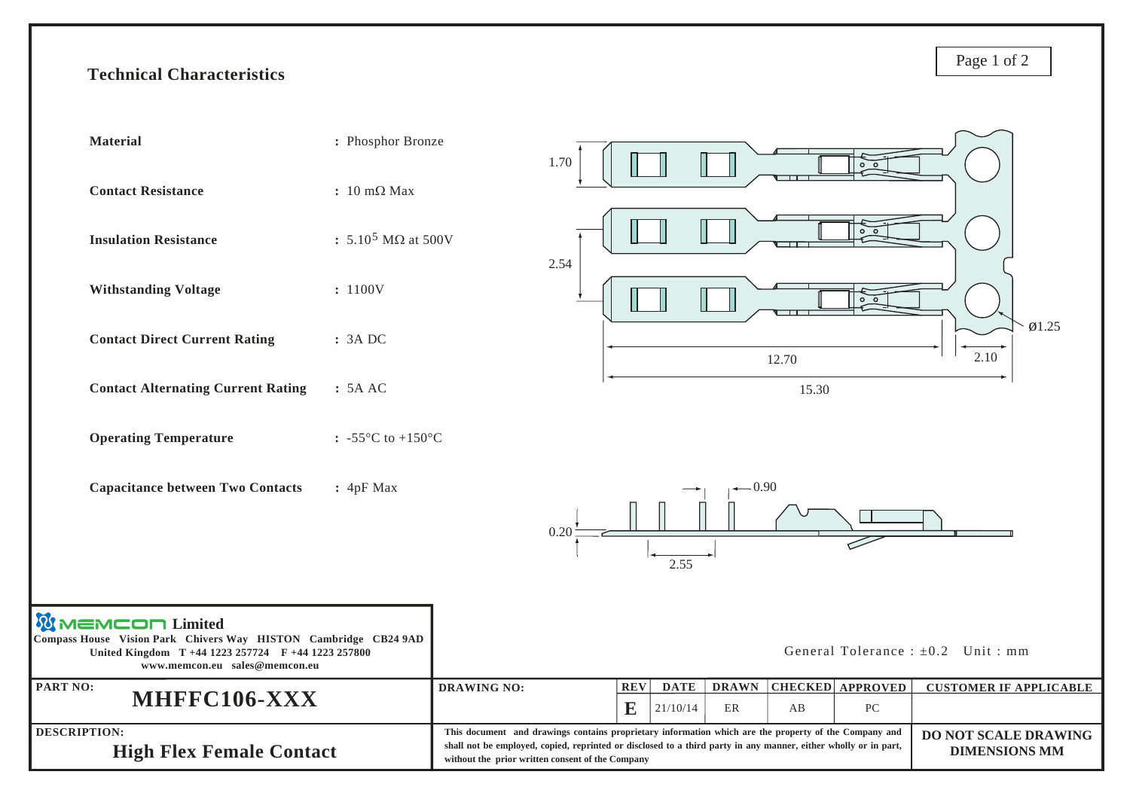## **Technical Characteristics**